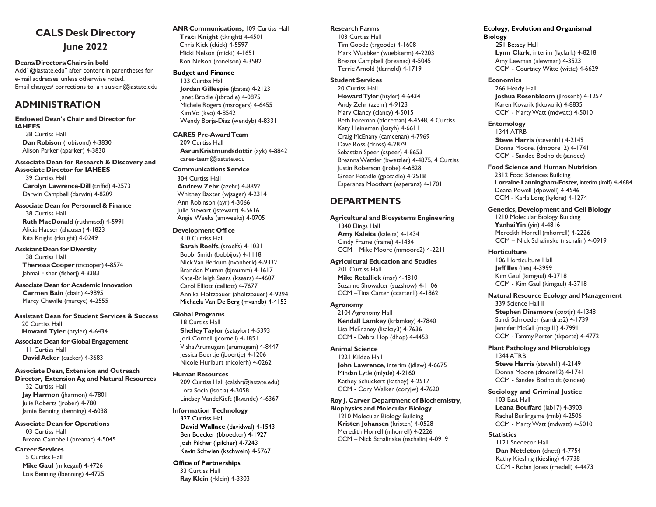# **CALS Desk Directory June 2022**

**Deans/Directors/Chairs in bold** Add "@iastate.edu" after content in parentheses for e-mail addresses, unless otherwise noted. Email changes/ corrections to: a hause[r@iastate.edu](mailto:jstewart@iastate.edu)

## **ADMINISTRATION**

### **Endowed Dean's Chair and Director for**

**IAHEES** 138 Curtiss Hall **Dan Robison** (robisond) 4-3830 Alison Parker (aparker) 4-3830

#### **Associate Dean for Research & Discovery and**

**Associate Director for IAHEES** 139 Curtiss Hall **Carolyn Lawrence-Dill** (triffid) 4-2573 Darwin Campbell (darwin) 4-8209

## **Associate Dean for Personnel & Finance**

138 Curtiss Hall **Ruth MacDonald** (ruthmacd) 4-5991 Alicia Hauser (ahauser) 4-1823 Rita Knight (rknight) 4-0249

#### **Assistant Dean for Diversity**

138 Curtiss Hall **TheressaCooper** (tncooper)4-8574 Jahmai Fisher (fisherj) 4-8383

#### **Associate Dean for Academic Innovation Carmen Bain** (cbain) 4-9895 Marcy Cheville (marcyc) 4-2555

**Assistant Dean for Student Services & Success** 20 Curtiss Hall

**Howard Tyler** (htyler) 4-6434

**Associate Dean for Global Engagement** 111 Curtiss Hall **DavidAcker** (dacker) 4-3683

### **Associate Dean,Extension and Outreach**

**Director, ExtensionAg and Natural Resources** 132 Curtiss Hall **Jay Harmon** (jharmon) 4-7801 Julie Roberts (jrober) 4-7801 Jamie Benning (benning) 4-6038

## **Associate Dean for Operations** 103 Curtiss Hall

Breana Campbell (breanac) 4-5045

## **Career Services**

15 Curtiss Hall **Mike Gaul** (mikegaul) 4-4726 Lois Benning (lbenning) 4-4725

#### **ANR Communications,** 109 Curtiss Hall  **Traci Knight** (tknight) 4-4501 Chris Kick (ckick) 4-5597 Micki Nelson (micki) 4-1651 Ron Nelson (ronelson) 4-3582

### **Budget and Finance**

133 Curtiss Hall **Jordan Gillespie** (jbates) 4-2123 Janet Brodie (jtbrodie) 4-0875 Michele Rogers (msrogers) 4-6455 KimVo (kvo) 4-8542 Wendy Borja-Diaz (wendyb) 4-8331

#### **CARES Pre-AwardTeam** 209 Curtiss Hall **AsrunKristmundsdottir** (ayk) 4-8842

[cares-team@iastate.edu](mailto:cares-team@iastate.edu)

### **Communications Service**

304 Curtiss Hall **Andrew Zehr** (azehr) 4-8892 Whitney Baxter (wjsager) 4-2314 Ann Robinson (ayr) 4-3066 Julie Stewart (jstewart) 4-5616 Angie Weeks (amweeks) 4-0705

### **Development Office**

310 Curtiss Hall **Sarah Roelfs**, (sroelfs) 4-1031 Bobbi Smith (bobbijos) 4-1118 NickVan Berkum (nvanberk) 4-9332 Brandon Mumm (bjmumm) 4-1617 Kate-Brileigh Sears (ksears) 4-4607 Carol Elliott (celliott) 4-7677 Annika Holtzbauer (aholtzbauer) 4-9294 Michaela Van De Berg (mvandb) 4-4153

### **Global Programs**

18 Curtiss Hall **ShelleyTaylor** (sztaylor) 4-5393 Jodi Cornell (jcornell) 4-1851 VishaArumugam (arumugam) 4-8447 Jessica Boertje (jboertje) 4-1206 Nicole Hurlburt (nicolerh) 4-0262

### **Human Resources**

209 Curtiss Hall (calshr@iastate.edu) Lora Socia (lsocia) 4-3058 Lindsey VandeKieft (lkvande) 4-6367

### **Information Technology**

327 Curtiss Hall **David Wallace** (davidwal) 4-1543 Ben Boecker (bboecker) 4-1927 Josh Pilcher (jpilcher) 4-7243 Kevin Schwien (kschwein) 4-5767

## **Office of Partnerships**

33 Curtiss Hall **Ray Klein** (rklein) 4-3303

#### **Research Farms**

103 Curtiss Hall Tim Goode (trgoode) 4-1608 Mark Wuebker (wuebkerm) 4-2203 Breana Campbell (breanac) 4-5045 TerrieArnold (tlarnold) 4-1719

#### **Student Services**

20 Curtiss Hall **HowardTyler** (htyler) 4-6434 Andy Zehr (azehr) 4-9123 Mary Clancy (clancy) 4-5015 Beth Foreman (bforeman) 4-4548, 4 Curtiss Katy Heineman (katyh) 4-6611 Craig McEnany (camcenan) 4-7969 Dave Ross (dross) 4-2879 Sebastian Speer (sspeer) 4-8653 BreannaWetzler (bwetzler) 4-4875, 4 Curtiss Justin Roberson (jrobe) 4-6828 Greer Potadle (gpotadle) 4-2518 Esperanza Moothart (esperanz) 4-1701

## **DEPARTMENTS**

#### **Agricultural and Biosystems Engineering** 1340 Elings Hall **Amy Kaleita** (kaleita) 4-1434

Cindy Frame (frame) 4-1434 CCM – Mike Moore (mmoore2) 4-2211

### **Agricultural Education and Studies**

201 Curtiss Hall **Mike Retallick** (msr) 4-4810 Suzanne Showalter (suzshow) 4-1106 CCM -Tina Carter (ccarter1) 4-1862

### **Agronomy**

2104 Agronomy Hall **Kendall Lamkey** (krlamkey) 4-7840 Lisa McEnaney (lisakay3) 4-7636 CCM - Debra Hop (dhop) 4-4453

## **Animal Science**

1221 Kildee Hall **John Lawrence**, interim (jdlaw) 4-6675 Mindan Lytle (mlytle) 4-2160 Kathey Schuckert (kathey) 4-2517 CCM - Cory Walker (coryjw) 4-7620

## **Roy J. Carver Department of Biochemistry,**

**Biophysics and Molecular Biology** 1210 Molecular Biology Building **Kristen Johansen** (kristen) 4-0528 Meredith Horrell (mhorrell) 4-2226 CCM – Nick Schalinske (nschalin) 4-0919

#### **Ecology, Evolution and Organismal Biology**

251 Bessey Hall **Lynn Clark,** interim (lgclark) 4-8218 Amy Lewman (alewman) 4-3523 CCM - Courtney Witte (witte) 4-6629

#### **Economics**

266 Heady Hall **Joshua Rosenbloom** (jlrosenb) 4-1257 Karen Kovarik (kkovarik) 4-8835 CCM - MartyWatt (mdwatt) 4-5010

#### **Entomology**

1344 ATRB **Steve Harris** (stevenh1) 4-2149 Donna Moore, (dmoore12) 4-1741 CCM - Sandee Bodholdt (sandee)

#### **Food Science and Human Nutrition**

2312 Food Sciences Building **Lorraine Lanningham-Foster,** interim (lmlf) 4-4684 Deana Powell (dpowell) 4-4546 CCM - Karla Long (kylong) 4-1274

#### **Genetics,Development and Cell Biology**

1210 Molecular Biology Building **YanhaiYin** (yin) 4-4816 Meredith Horrell (mhorrell) 4-2226 CCM – Nick Schalinske (nschalin) 4-0919

#### **Horticulture**

106 Horticulture Hall **Jeff Iles** (iles) 4-3999 Kim Gaul (kimgaul) 4-3718 CCM - Kim Gaul (kimgaul) 4-3718

#### **Natural Resource Ecology and Management** 339 Science Hall II

**Stephen Dinsmore** (cootjr) 4-1348 Sandi Schroeder (sandras2) 4-1739 Jennifer McGill (mcgill1) 4-7991 CCM - Tammy Porter (tkporte) 4-4772

## **Plant Pathology and Microbiology**

1344 ATRB **Steve Harris** (steveh1) 4-2149 Donna Moore (dmore12) 4-1741 CCM - Sandee Bodholdt (sandee)

## **Sociology and Criminal Justice**

103 East Hall **Leana Bouffard** (lab17) 4-3903 Rachel Burlingame (rmb) 4-2506 CCM - MartyWatt (mdwatt) 4-5010

### **Statistics**

1121 Snedecor Hall **Dan Nettleton** (dnett) 4-7754 Kathy Kiesling (kiesling) 4-7738 CCM - Robin Jones (rriedell) 4-4473